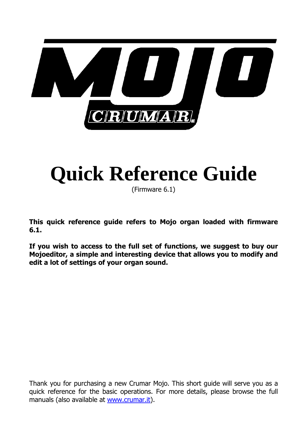

# **Quick Reference Guide**

(Firmware 6.1)

**This quick reference guide refers to Mojo organ loaded with firmware 6.1.** 

**If you wish to access to the full set of functions, we suggest to buy our Mojoeditor, a simple and interesting device that allows you to modify and edit a lot of settings of your organ sound.** 

Thank you for purchasing a new Crumar Mojo. This short guide will serve you as a quick reference for the basic operations. For more details, please browse the full manuals (also available at www.crumar.it).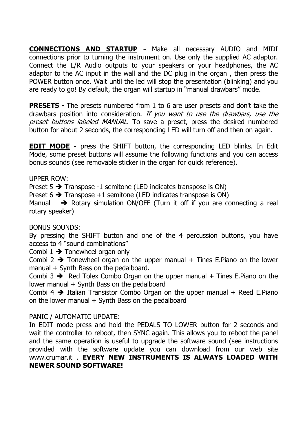**CONNECTIONS AND STARTUP -** Make all necessary AUDIO and MIDI connections prior to turning the instrument on. Use only the supplied AC adaptor. Connect the L/R Audio outputs to your speakers or your headphones, the AC adaptor to the AC input in the wall and the DC plug in the organ , then press the POWER button once. Wait until the led will stop the presentation (blinking) and you are ready to go! By default, the organ will startup in "manual drawbars" mode.

**PRESETS -** The presets numbered from 1 to 6 are user presets and don't take the drawbars position into consideration. If you want to use the drawbars, use the preset buttons labeled MANUAL. To save a preset, press the desired numbered button for about 2 seconds, the corresponding LED will turn off and then on again.

**EDIT MODE -** press the SHIFT button, the corresponding LED blinks. In Edit Mode, some preset buttons will assume the following functions and you can access bonus sounds (see removable sticker in the organ for quick reference).

UPPER ROW:

Preset  $5 \rightarrow$  Transpose -1 semitone (LED indicates transpose is ON)

Preset  $6 \rightarrow$  Transpose +1 semitone (LED indicates transpose is ON)

Manual  $\rightarrow$  Rotary simulation ON/OFF (Turn it off if you are connecting a real rotary speaker)

#### BONUS SOUNDS:

By pressing the SHIFT button and one of the 4 percussion buttons, you have access to 4 "sound combinations"

Combi  $1 \rightarrow$  Tonewheel organ only

Combi 2  $\rightarrow$  Tonewheel organ on the upper manual + Tines E.Piano on the lower manual + Synth Bass on the pedalboard.

Combi 3  $\rightarrow$  Red Tolex Combo Organ on the upper manual  $+$  Tines E. Piano on the lower manual + Synth Bass on the pedalboard

Combi 4  $\rightarrow$  Italian Transistor Combo Organ on the upper manual + Reed E.Piano on the lower manual  $+$  Synth Bass on the pedalboard

#### PANIC / AUTOMATIC UPDATE:

In EDIT mode press and hold the PEDALS TO LOWER button for 2 seconds and wait the controller to reboot, then SYNC again. This allows you to reboot the panel and the same operation is useful to upgrade the software sound (see instructions provided with the software update you can download from our web site www.crumar.it . **EVERY NEW INSTRUMENTS IS ALWAYS LOADED WITH NEWER SOUND SOFTWARE!**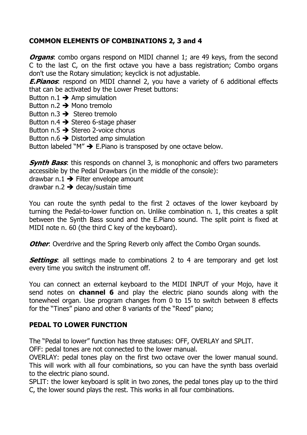## **COMMON ELEMENTS OF COMBINATIONS 2, 3 and 4**

**Organs:** combo organs respond on MIDI channel 1; are 49 keys, from the second C to the last C, on the first octave you have a bass registration; Combo organs don't use the Rotary simulation; keyclick is not adjustable.

**E.Pianos**: respond on MIDI channel 2, you have a variety of 6 additional effects that can be activated by the Lower Preset buttons:

Button  $n.1 \rightarrow A$ mp simulation

- Button  $n.2 \rightarrow$  Mono tremolo
- Button  $n.3 \rightarrow$  Stereo tremolo
- Button  $n.4 \rightarrow$  Stereo 6-stage phaser
- Button  $n.5 \rightarrow$  Stereo 2-voice chorus
- Button  $n.6 \rightarrow$  Distorted amp simulation

Button labeled "M"  $\rightarrow$  E.Piano is transposed by one octave below.

**Synth Bass**: this responds on channel 3, is monophonic and offers two parameters accessible by the Pedal Drawbars (in the middle of the console):

drawbar n.1  $\rightarrow$  Filter envelope amount

drawbar n.2  $\rightarrow$  decay/sustain time

You can route the synth pedal to the first 2 octaves of the lower keyboard by turning the Pedal-to-lower function on. Unlike combination n. 1, this creates a split between the Synth Bass sound and the E.Piano sound. The split point is fixed at MIDI note n. 60 (the third C key of the keyboard).

**Other**: Overdrive and the Spring Reverb only affect the Combo Organ sounds.

**Settings:** all settings made to combinations 2 to 4 are temporary and get lost every time you switch the instrument off.

You can connect an external keyboard to the MIDI INPUT of your Mojo, have it send notes on **channel 6** and play the electric piano sounds along with the tonewheel organ. Use program changes from 0 to 15 to switch between 8 effects for the "Tines" piano and other 8 variants of the "Reed" piano;

### **PEDAL TO LOWER FUNCTION**

The "Pedal to lower" function has three statuses: OFF, OVERLAY and SPLIT.

OFF: pedal tones are not connected to the lower manual.

OVERLAY: pedal tones play on the first two octave over the lower manual sound. This will work with all four combinations, so you can have the synth bass overlaid to the electric piano sound.

SPLIT: the lower keyboard is split in two zones, the pedal tones play up to the third C, the lower sound plays the rest. This works in all four combinations.